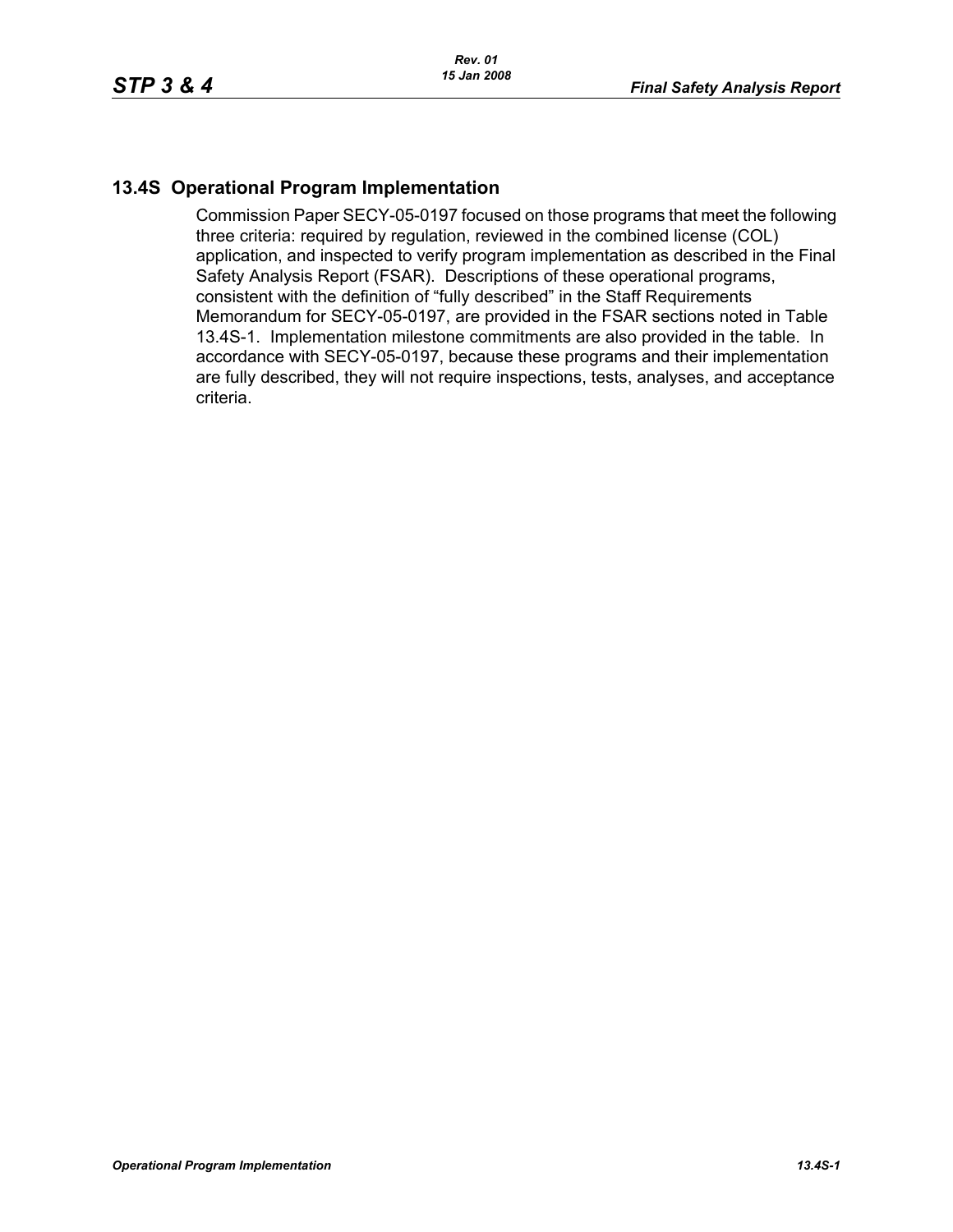## **13.4S Operational Program Implementation**

Commission Paper SECY-05-0197 focused on those programs that meet the following three criteria: required by regulation, reviewed in the combined license (COL) application, and inspected to verify program implementation as described in the Final Safety Analysis Report (FSAR). Descriptions of these operational programs, consistent with the definition of "fully described" in the Staff Requirements Memorandum for SECY-05-0197, are provided in the FSAR sections noted in Table 13.4S-1. Implementation milestone commitments are also provided in the table. In accordance with SECY-05-0197, because these programs and their implementation are fully described, they will not require inspections, tests, analyses, and acceptance criteria.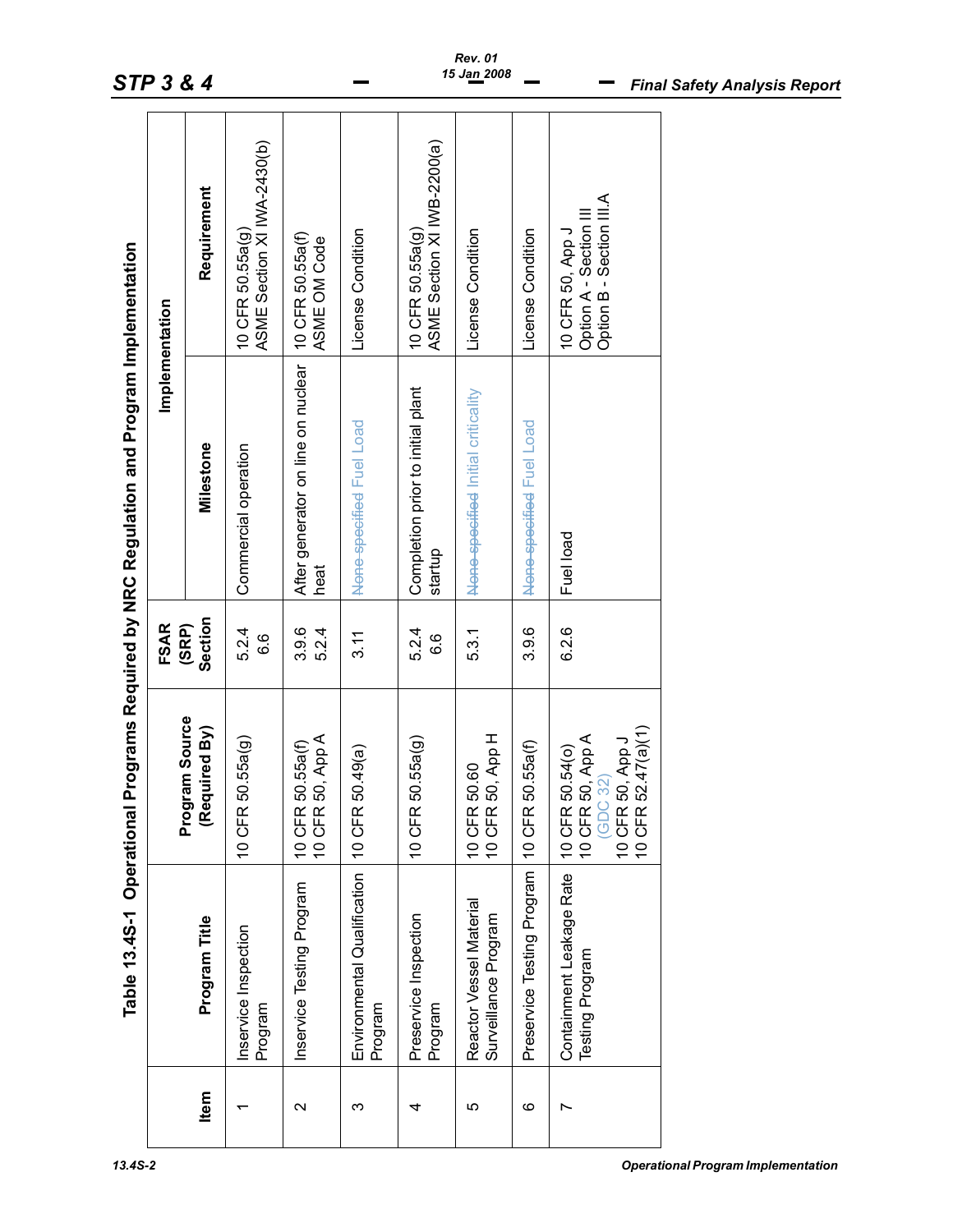|                   | Table 13.4S-1 Operational                       |                                                                                                                                   |                       | Programs Required by NRC Regulation and Program Implementation |                                                                        |
|-------------------|-------------------------------------------------|-----------------------------------------------------------------------------------------------------------------------------------|-----------------------|----------------------------------------------------------------|------------------------------------------------------------------------|
|                   |                                                 |                                                                                                                                   | <b>FSAR</b>           | Implementation                                                 |                                                                        |
| Item              | Program Title                                   | Program Source<br>(Required By)                                                                                                   | Section<br>(SRP)      | Milestone                                                      | Requirement                                                            |
|                   | Inservice Inspection<br>Program                 | 50.55a(g)<br><b>10 CFR</b>                                                                                                        | 5.24<br><u>၀</u><br>ဝ | Commercial operation                                           | ASME Section XI IWA-2430(b)<br>10 CFR 50.55a(g)                        |
| $\mathbf{\Omega}$ | Inservice Testing Program                       | 50, App A<br>50.55a(f)<br><b>10 CFR</b><br><b>10 CFR</b>                                                                          | 3.9.6<br>5.2.4        | After generator on line on nuclear<br>heat                     | 10 CFR 50.55a(f)<br>ASME OM Code                                       |
| ო                 | Environmental Qualification<br>Program          | 50.49(a)<br>10 CFR                                                                                                                | 3.11                  | None-specified Fuel Load                                       | License Condition                                                      |
| 4                 | Preservice Inspection<br>Program                | 50.55a(g)<br><b>10 CFR</b>                                                                                                        | 5.24<br><u>၀</u><br>၀ | Completion prior to initial plant<br>startup                   | ASME Section XI IV/B-2200(a)<br>10 CFR 50.55a(g)                       |
| ю                 | Reactor Vessel Material<br>Surveillance Program | 50, App H<br>50.60<br><b>10 CFR</b><br><b>10 CFR</b>                                                                              | 5.3.1                 | None specified Initial criticality                             | License Condition                                                      |
| ဖ                 | Preservice Testing Program                      | 50.55a(f)<br>10 CFR                                                                                                               | 3.9.6                 | None-specified Fuel Load                                       | License Condition                                                      |
|                   | Containment Leakage Rate<br>Testing Program     | 52.47(a)(1)<br>50, App A<br>50, App J<br>50.54(0)<br>(GDC 32)<br><b>10 CFR</b><br><b>10 CFR</b><br><b>10 CFR</b><br><b>10 CFR</b> | 6.2.6                 | Fuel load                                                      | Option B - Section III.A<br>Option A - Section III<br>10 CFR 50, App J |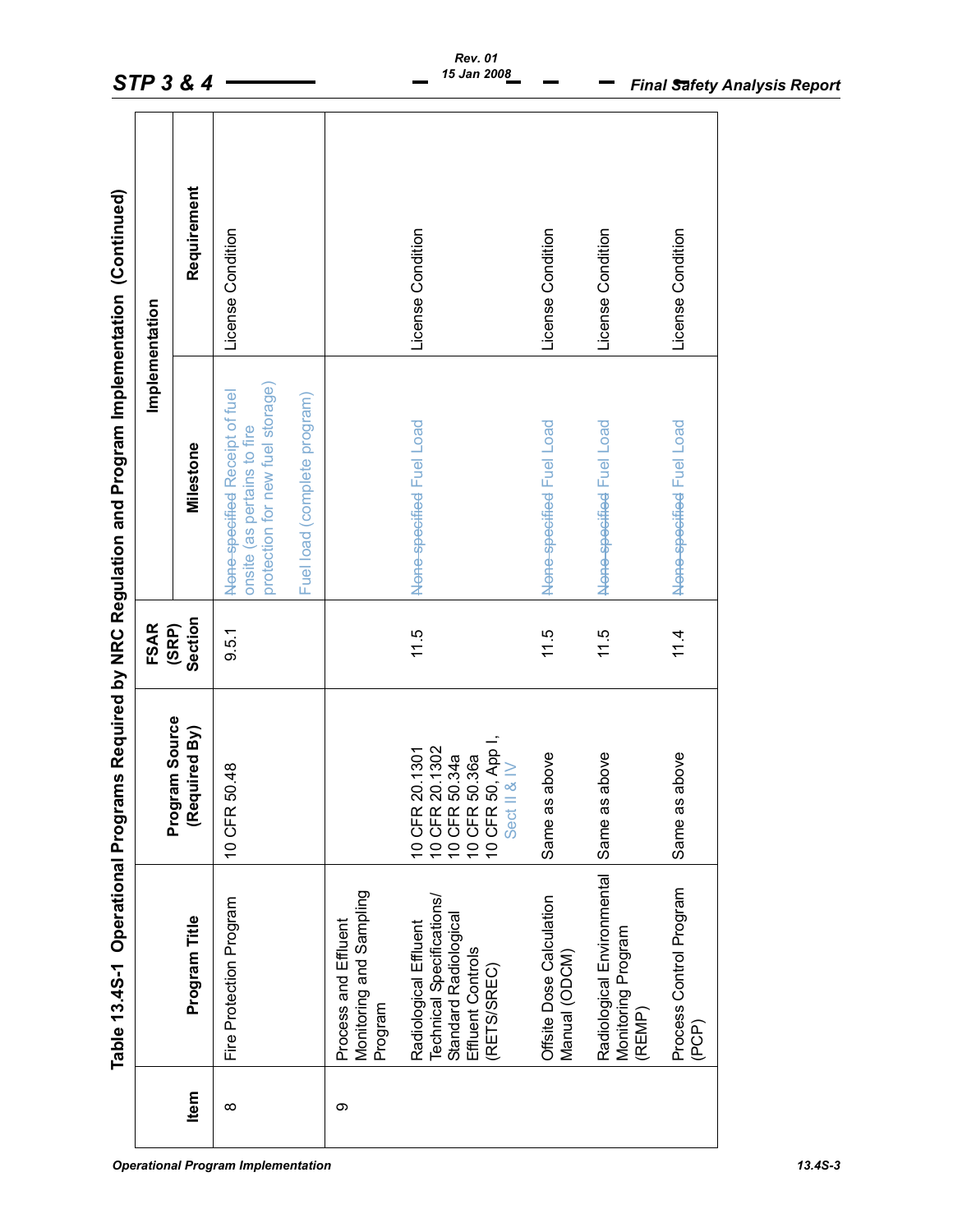|          |                                                                                                                |                                                                                                                                                                                          | <b>FSAR</b>      |                                                                                                   | Implementation    |
|----------|----------------------------------------------------------------------------------------------------------------|------------------------------------------------------------------------------------------------------------------------------------------------------------------------------------------|------------------|---------------------------------------------------------------------------------------------------|-------------------|
| Item     | Program Title                                                                                                  | Program Source<br>(Required By)                                                                                                                                                          | Section<br>(SRP) | Milestone                                                                                         | Requirement       |
| $\infty$ | Fire Protection Program                                                                                        | 10 CFR 50.48                                                                                                                                                                             | 9.5.1            | protection for new fuel storage)<br>None specified Receipt of fuel<br>onsite (as pertains to fire | License Condition |
|          |                                                                                                                |                                                                                                                                                                                          |                  | Fuel load (complete program)                                                                      |                   |
| ω        | Monitoring and Sampling<br>Process and Effluent<br>Program                                                     |                                                                                                                                                                                          |                  |                                                                                                   |                   |
|          | Technical Specifications/<br>Standard Radiologica<br>Radiological Effluent<br>Effluent Controls<br>(RETS/SREC) | $\begin{array}{l} \text{10 CFR 20.1302} \\ \text{10 CFR 50.34a} \\ \text{10 CFR 50.36a} \\ \text{10 CFR 50.} \\ \text{9ect II & \& \, \mathbb{N} \end{array} \text{.}$<br>10 CFR 20.1301 | 11.5             | None-specified Fuel Load                                                                          | License Condition |
|          | Offsite Dose Calculation<br>Manual (ODCM)                                                                      | above<br>Same as                                                                                                                                                                         | 11.5             | None-specified Fuel Load                                                                          | License Condition |
|          | Radiological Environmental<br>Monitoring Program<br>(REMP)                                                     | above<br>Same as                                                                                                                                                                         | 11.5             | None-specified Fuel Load                                                                          | License Condition |
|          | Process Control Program<br>(PCP)                                                                               | above<br>Same as                                                                                                                                                                         | 11.4             | None specified Fuel Load                                                                          | License Condition |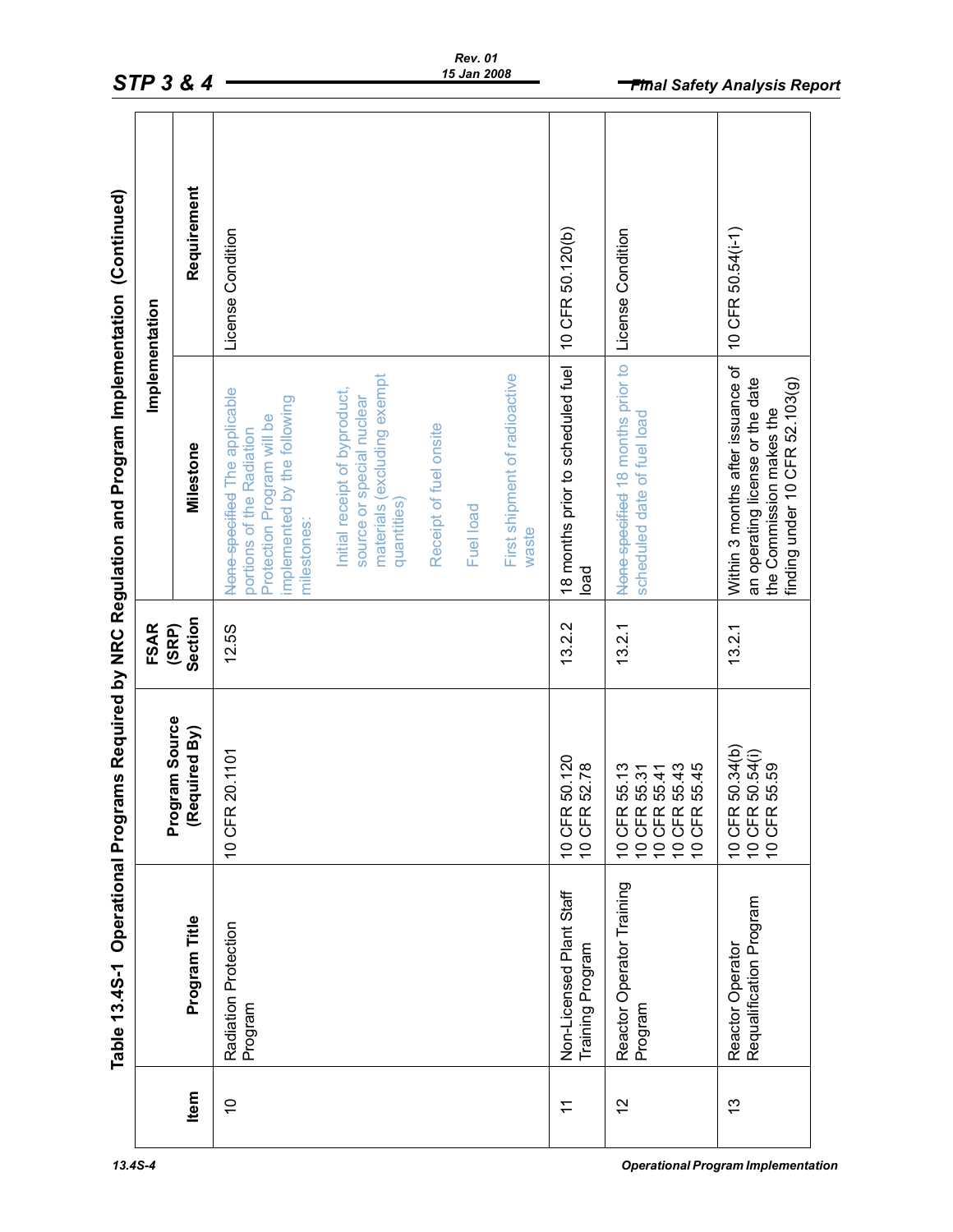| Requirement<br>10 CFR 50.54(i-1)<br>10 CFR 50.120(b)<br>None-specified 18 months prior to License Condition<br>License Condition<br>18 months prior to scheduled fuel<br>Within 3 months after issuance of<br>First shipment of radioactive<br>materials (excluding exempt<br>an operating license or the date<br>finding under 10 CFR 52.103(g)<br>None-specified The applicable<br>Initial receipt of byproduct,<br>source or special nuclear<br>implemented by the following<br>the Commission makes the<br>scheduled date of fuel load<br>Protection Program will be<br>Receipt of fuel onsite<br>portions of the Radiation<br>Milestone<br>quantities)<br>Fuel load<br>waste | <b>FSAR</b>          |
|-----------------------------------------------------------------------------------------------------------------------------------------------------------------------------------------------------------------------------------------------------------------------------------------------------------------------------------------------------------------------------------------------------------------------------------------------------------------------------------------------------------------------------------------------------------------------------------------------------------------------------------------------------------------------------------|----------------------|
|                                                                                                                                                                                                                                                                                                                                                                                                                                                                                                                                                                                                                                                                                   | Section<br>(SRP)     |
|                                                                                                                                                                                                                                                                                                                                                                                                                                                                                                                                                                                                                                                                                   | milestones:<br>12.5S |
|                                                                                                                                                                                                                                                                                                                                                                                                                                                                                                                                                                                                                                                                                   |                      |
|                                                                                                                                                                                                                                                                                                                                                                                                                                                                                                                                                                                                                                                                                   |                      |
|                                                                                                                                                                                                                                                                                                                                                                                                                                                                                                                                                                                                                                                                                   |                      |
|                                                                                                                                                                                                                                                                                                                                                                                                                                                                                                                                                                                                                                                                                   |                      |
|                                                                                                                                                                                                                                                                                                                                                                                                                                                                                                                                                                                                                                                                                   | load<br>13.2.2       |
|                                                                                                                                                                                                                                                                                                                                                                                                                                                                                                                                                                                                                                                                                   | 13.2.1               |
|                                                                                                                                                                                                                                                                                                                                                                                                                                                                                                                                                                                                                                                                                   | 13.2.1               |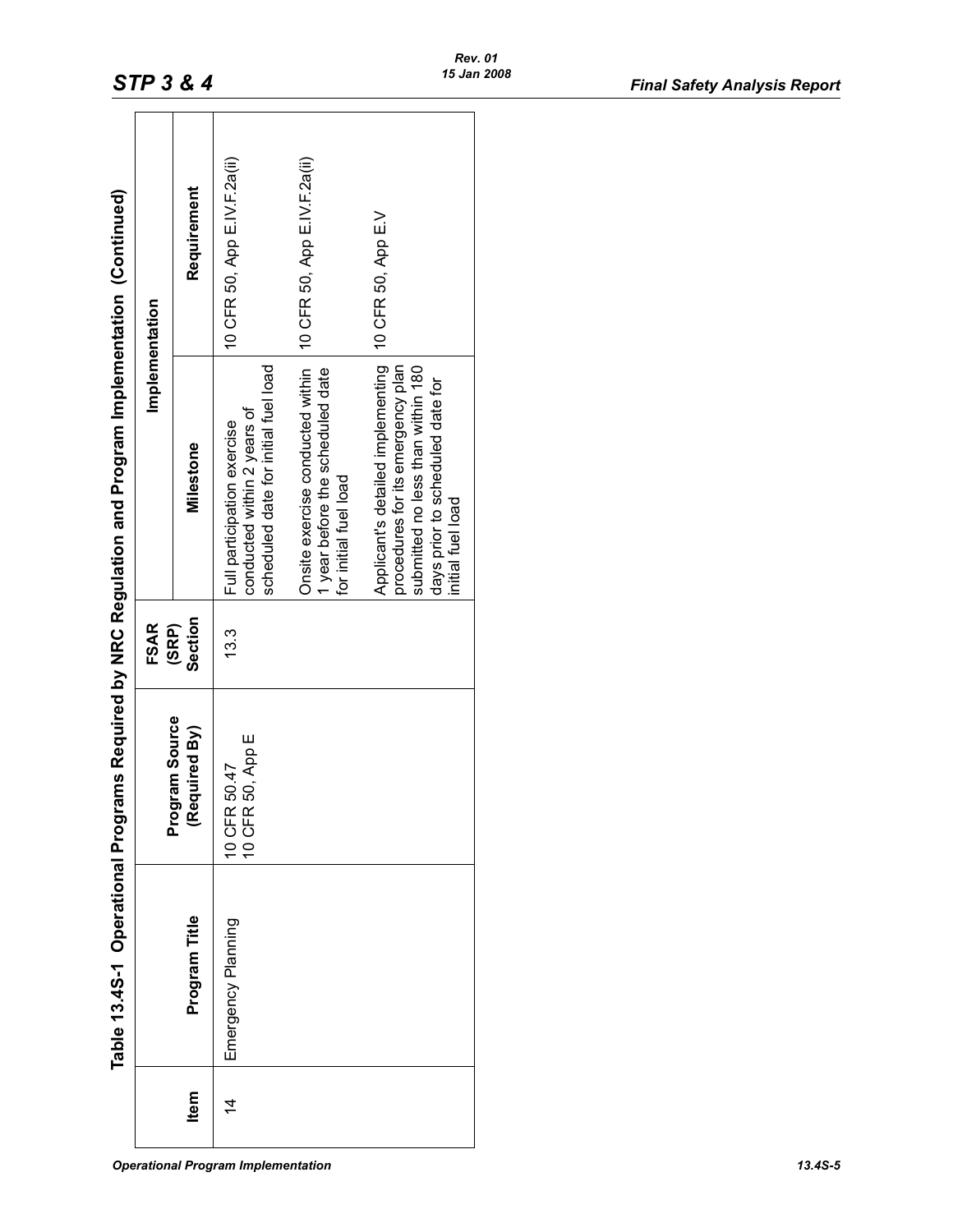|           | Table 13.4S-1 Operational Progr |                                  |                  | rams Required by NRC Regulation and Program Implementation (Continued)                                                                                               |                              |
|-----------|---------------------------------|----------------------------------|------------------|----------------------------------------------------------------------------------------------------------------------------------------------------------------------|------------------------------|
|           |                                 |                                  | <b>FSAR</b>      | Implementation                                                                                                                                                       |                              |
| Item      | Program Title                   | Program Source<br>(Required By)  | Section<br>(SRP) | Milestone                                                                                                                                                            | Requirement                  |
| $\dot{4}$ | Emergency Planning              | 10 CFR 50, App E<br>10 CFR 50.47 | 13.3             | scheduled date for initial fuel load<br>conducted within 2 years of<br>Full participation exercise                                                                   | 10 CFR 50, App E.IV.F.2a(ii) |
|           |                                 |                                  |                  | Onsite exercise conducted within<br>1 year before the scheduled date<br>for initial fuel load                                                                        | 10 CFR 50, App E.IV.F.2a(ii) |
|           |                                 |                                  |                  | Applicant's detailed implementing<br>procedures for its emergency plan<br>submitted no less than within 180<br>days prior to scheduled date for<br>initial fuel load | 10 CFR 50, App E.V           |